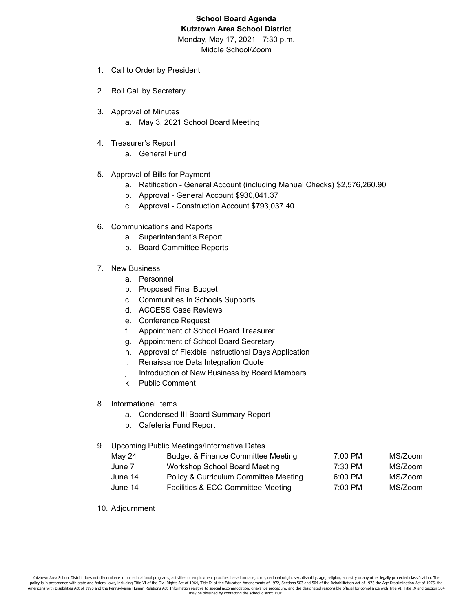# **School Board Agenda Kutztown Area School District**

Monday, May 17, 2021 - 7:30 p.m.

Middle School/Zoom

- 1. Call to Order by President
- 2. Roll Call by Secretary
- 3. Approval of Minutes
	- a. May 3, 2021 School Board Meeting
- 4. Treasurer's Report
	- a. General Fund
- 5. Approval of Bills for Payment
	- a. Ratification General Account (including Manual Checks) \$2,576,260.90
	- b. Approval General Account \$930,041.37
	- c. Approval Construction Account \$793,037.40
- 6. Communications and Reports
	- a. Superintendent's Report
	- b. Board Committee Reports
- 7. New Business
	- a. Personnel
	- b. Proposed Final Budget
	- c. Communities In Schools Supports
	- d. ACCESS Case Reviews
	- e. Conference Request
	- f. Appointment of School Board Treasurer
	- g. Appointment of School Board Secretary
	- h. Approval of Flexible Instructional Days Application
	- i. Renaissance Data Integration Quote
	- j. Introduction of New Business by Board Members
	- k. Public Comment
- 8. Informational Items
	- a. Condensed III Board Summary Report
	- b. Cafeteria Fund Report

## 9. Upcoming Public Meetings/Informative Dates

| May 24  | <b>Budget &amp; Finance Committee Meeting</b> | 7:00 PM | MS/Zoom |
|---------|-----------------------------------------------|---------|---------|
| June 7  | Workshop School Board Meeting                 | 7:30 PM | MS/Zoom |
| June 14 | Policy & Curriculum Committee Meeting         | 6:00 PM | MS/Zoom |
| June 14 | Facilities & ECC Committee Meeting            | 7:00 PM | MS/Zoom |

10. Adjournment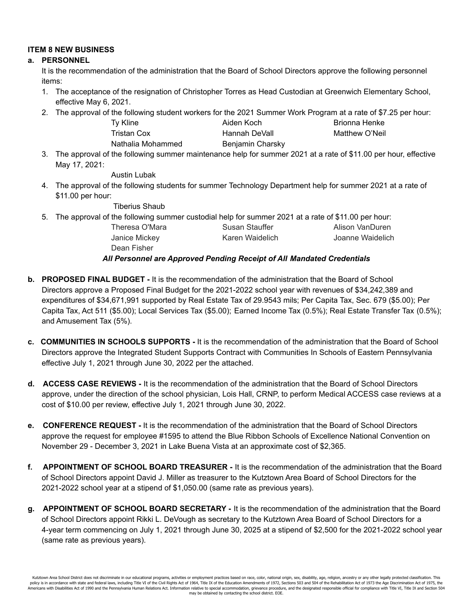## **ITEM 8 NEW BUSINESS**

#### **a. PERSONNEL**

It is the recommendation of the administration that the Board of School Directors approve the following personnel items:

- 1. The acceptance of the resignation of Christopher Torres as Head Custodian at Greenwich Elementary School, effective May 6, 2021.
- 2. The approval of the following student workers for the 2021 Summer Work Program at a rate of \$7.25 per hour:

| <b>Ty Kline</b>   | Aiden Koch       | Brionna Henke  |
|-------------------|------------------|----------------|
| Tristan Cox       | Hannah DeVall    | Matthew O'Neil |
| Nathalia Mohammed | Benjamin Charsky |                |

3. The approval of the following summer maintenance help for summer 2021 at a rate of \$11.00 per hour, effective May 17, 2021:

Austin Lubak

4. The approval of the following students for summer Technology Department help for summer 2021 at a rate of \$11.00 per hour:

Tiberius Shaub

- 5. The approval of the following summer custodial help for summer 2021 at a rate of \$11.00 per hour:
	- Dean Fisher

Theresa O'Mara **Susan Stauffer** Alison VanDuren Janice Mickey Karen Waidelich Joanne Waidelich

## *All Personnel are Approved Pending Receipt of All Mandated Credentials*

- **b. PROPOSED FINAL BUDGET -** It is the recommendation of the administration that the Board of School Directors approve a Proposed Final Budget for the 2021-2022 school year with revenues of \$34,242,389 and expenditures of \$34,671,991 supported by Real Estate Tax of 29.9543 mils; Per Capita Tax, Sec. 679 (\$5.00); Per Capita Tax, Act 511 (\$5.00); Local Services Tax (\$5.00); Earned Income Tax (0.5%); Real Estate Transfer Tax (0.5%); and Amusement Tax (5%).
- **c. COMMUNITIES IN SCHOOLS SUPPORTS -** It is the recommendation of the administration that the Board of School Directors approve the Integrated Student Supports Contract with Communities In Schools of Eastern Pennsylvania effective July 1, 2021 through June 30, 2022 per the attached.
- **d. ACCESS CASE REVIEWS -** It is the recommendation of the administration that the Board of School Directors approve, under the direction of the school physician, Lois Hall, CRNP, to perform Medical ACCESS case reviews at a cost of \$10.00 per review, effective July 1, 2021 through June 30, 2022.
- **e. CONFERENCE REQUEST -** It is the recommendation of the administration that the Board of School Directors approve the request for employee #1595 to attend the Blue Ribbon Schools of Excellence National Convention on November 29 - December 3, 2021 in Lake Buena Vista at an approximate cost of \$2,365.
- **f. APPOINTMENT OF SCHOOL BOARD TREASURER -** It is the recommendation of the administration that the Board of School Directors appoint David J. Miller as treasurer to the Kutztown Area Board of School Directors for the 2021-2022 school year at a stipend of \$1,050.00 (same rate as previous years).
- **g. APPOINTMENT OF SCHOOL BOARD SECRETARY -** It is the recommendation of the administration that the Board of School Directors appoint Rikki L. DeVough as secretary to the Kutztown Area Board of School Directors for a 4-year term commencing on July 1, 2021 through June 30, 2025 at a stipend of \$2,500 for the 2021-2022 school year (same rate as previous years).